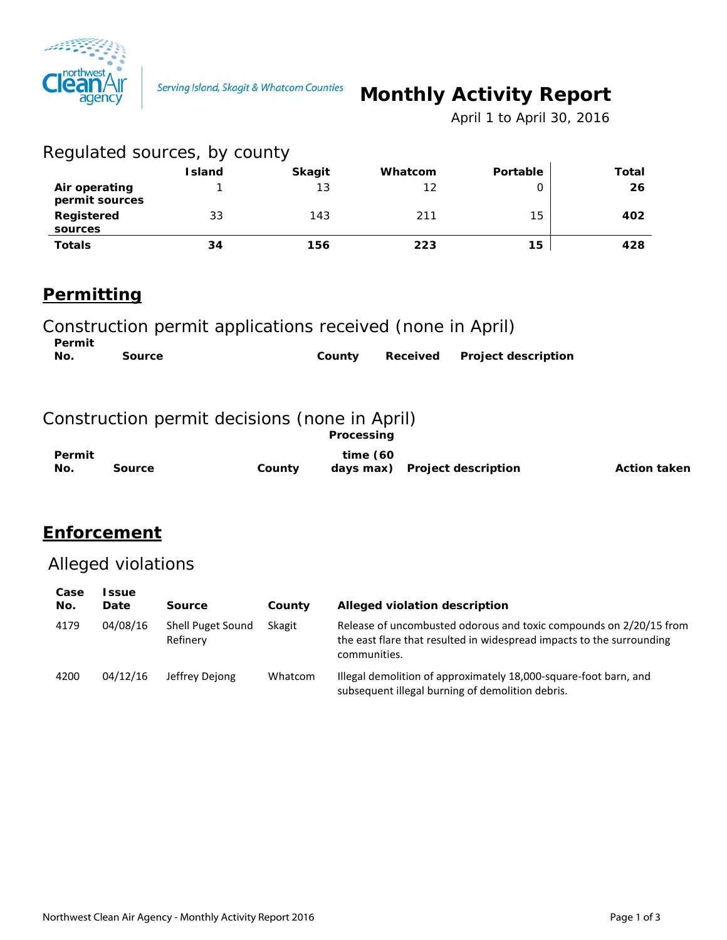

# **Monthly Activity Report**

 *April 1 to April 30, 2016*

| Regulated sources, by county    |               |               |         |          |              |
|---------------------------------|---------------|---------------|---------|----------|--------------|
|                                 | <b>Island</b> | <b>Skagit</b> | Whatcom | Portable | <b>Total</b> |
| Air operating<br>permit sources |               | 13            | 12      |          | 26           |
| Registered<br>sources           | 33            | 143           | 211     | 15       | 402          |
| <b>Totals</b>                   | 34            | 156           | 223     | 15       | 428          |

# **Permitting**

Construction permit applications received (none in April)

| Permit |        |        |                              |
|--------|--------|--------|------------------------------|
| No.    | Source | County | Received Project description |

#### Construction permit decisions (none in April)

|        |        | <b>Processing</b> |                               |                     |
|--------|--------|-------------------|-------------------------------|---------------------|
| Permit |        | time $(60)$       |                               |                     |
| No.    | Source | County            | days max) Project description | <b>Action taken</b> |

### **Enforcement**

# Alleged violations

| Case<br>No. | <b>ssue</b><br>Date | <b>Source</b>                 | County  | Alleged violation description                                                                                                                               |
|-------------|---------------------|-------------------------------|---------|-------------------------------------------------------------------------------------------------------------------------------------------------------------|
| 4179        | 04/08/16            | Shell Puget Sound<br>Refinery | Skagit  | Release of uncombusted odorous and toxic compounds on 2/20/15 from<br>the east flare that resulted in widespread impacts to the surrounding<br>communities. |
| 4200        | 04/12/16            | Jeffrey Dejong                | Whatcom | Illegal demolition of approximately 18,000-square-foot barn, and<br>subsequent illegal burning of demolition debris.                                        |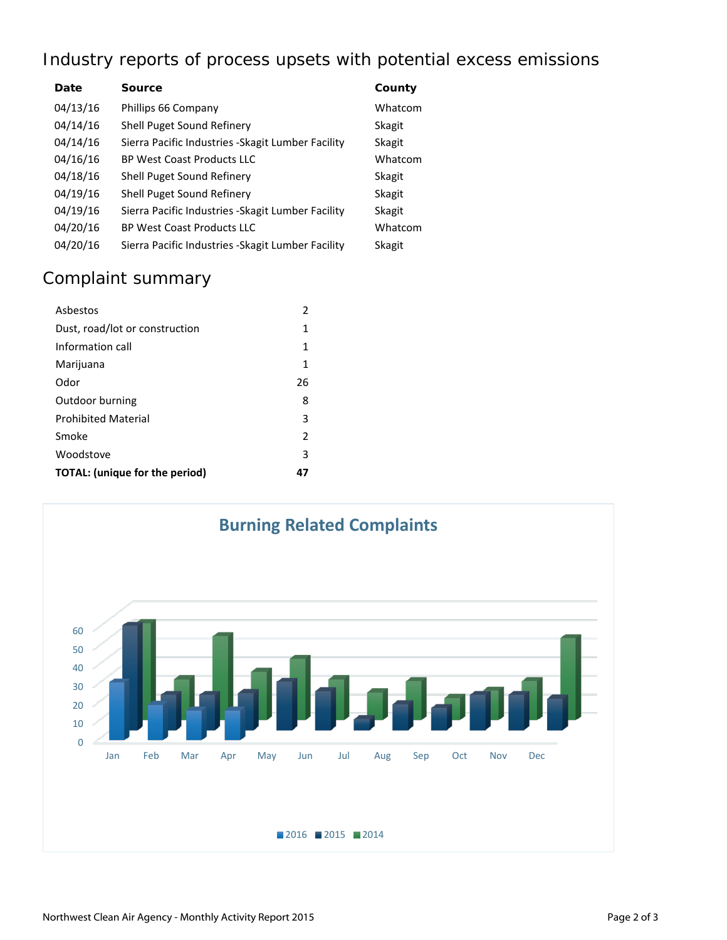# Industry reports of process upsets with potential excess emissions

| Date     | <b>Source</b>                                      | County        |
|----------|----------------------------------------------------|---------------|
| 04/13/16 | Phillips 66 Company                                | Whatcom       |
| 04/14/16 | <b>Shell Puget Sound Refinery</b>                  | Skagit        |
| 04/14/16 | Sierra Pacific Industries - Skagit Lumber Facility | Skagit        |
| 04/16/16 | <b>BP West Coast Products LLC</b>                  | Whatcom       |
| 04/18/16 | Shell Puget Sound Refinery                         | <b>Skagit</b> |
| 04/19/16 | Shell Puget Sound Refinery                         | <b>Skagit</b> |
| 04/19/16 | Sierra Pacific Industries - Skagit Lumber Facility | Skagit        |
| 04/20/16 | <b>BP West Coast Products LLC</b>                  | Whatcom       |
| 04/20/16 | Sierra Pacific Industries - Skagit Lumber Facility | Skagit        |

# Complaint summary

| Asbestos                       | 2              |
|--------------------------------|----------------|
| Dust, road/lot or construction | 1              |
| Information call               | 1              |
| Marijuana                      | 1              |
| Odor                           | 26             |
| Outdoor burning                | 8              |
| <b>Prohibited Material</b>     | 3              |
| Smoke                          | $\overline{2}$ |
| Woodstove                      | 3              |
| TOTAL: (unique for the period) | 47             |